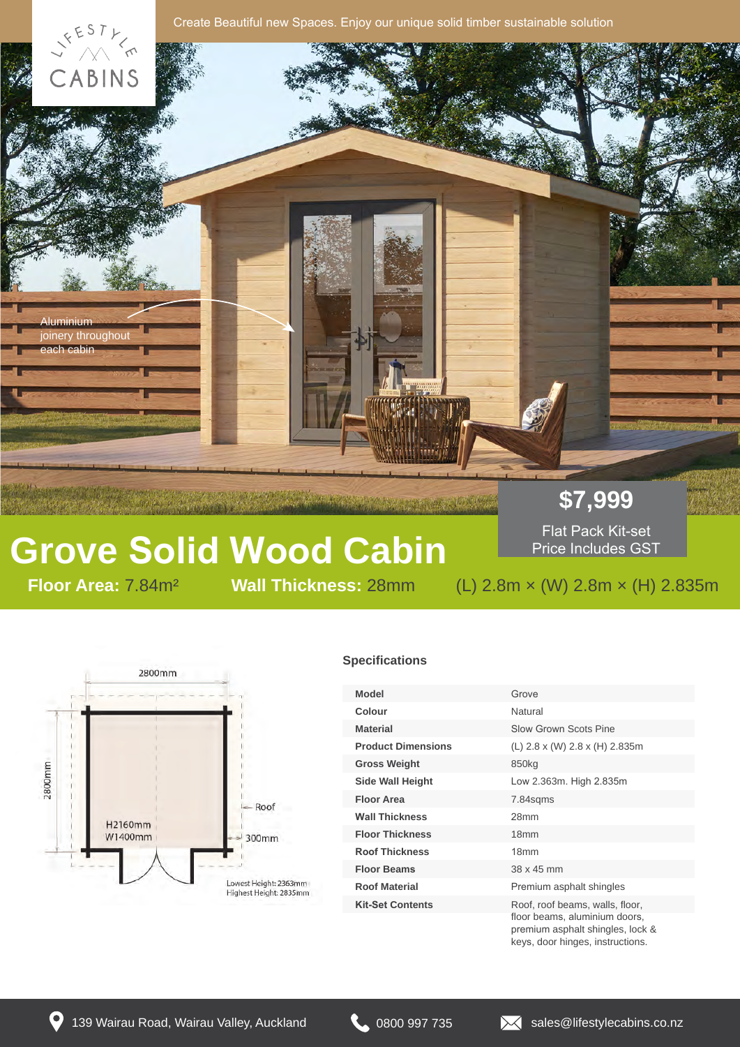

# **Grove Solid Wood Cabin**

Flat Pack Kit-set Price Includes GST

### **Floor Mall Thickness: 28mm** (L) 2.8m × (W) 2.8m × (H) 2.835m



#### **Specifications**

| Model                     | Grove                                                           |
|---------------------------|-----------------------------------------------------------------|
| Colour                    | Natural                                                         |
| <b>Material</b>           | <b>Slow Grown Scots Pine</b>                                    |
| <b>Product Dimensions</b> | (L) 2.8 x (W) 2.8 x (H) 2.835m                                  |
| <b>Gross Weight</b>       | 850 <sub>kg</sub>                                               |
| <b>Side Wall Height</b>   | Low 2.363m. High 2.835m                                         |
| <b>Floor Area</b>         | 7.84sqms                                                        |
| <b>Wall Thickness</b>     | 28 <sub>mm</sub>                                                |
| <b>Floor Thickness</b>    | 18 <sub>mm</sub>                                                |
| <b>Roof Thickness</b>     | 18 <sub>mm</sub>                                                |
| <b>Floor Beams</b>        | 38 x 45 mm                                                      |
| <b>Roof Material</b>      | Premium asphalt shingles                                        |
| <b>Kit-Set Contents</b>   | Roof, roof beams, walls, floor,                                 |
|                           | floor beams, aluminium doors,<br>promium conholtobingles look 0 |

premium asphalt shingles, lock & keys, door hinges, instructions.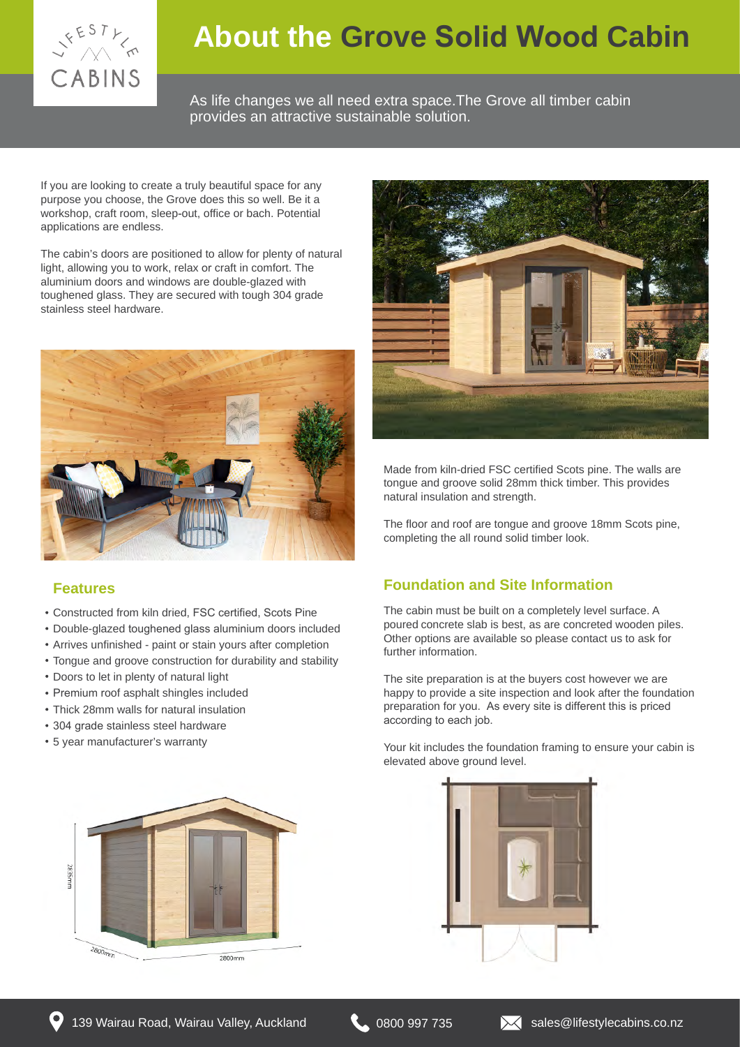

### **About the Grove Solid Wood Cabin**

As life changes we all need extra space.The Grove all timber cabin provides an attractive sustainable solution.

If you are looking to create a truly beautiful space for any purpose you choose, the Grove does this so well. Be it a workshop, craft room, sleep-out, office or bach. Potential applications are endless.

The cabin's doors are positioned to allow for plenty of natural light, allowing you to work, relax or craft in comfort. The aluminium doors and windows are double-glazed with toughened glass. They are secured with tough 304 grade stainless steel hardware.



#### **Features**

- Constructed from kiln dried, FSC certified, Scots Pine
- Double-glazed toughened glass aluminium doors included
- Arrives unfinished paint or stain yours after completion
- Tongue and groove construction for durability and stability
- Doors to let in plenty of natural light
- Premium roof asphalt shingles included
- Thick 28mm walls for natural insulation
- 304 grade stainless steel hardware
- 5 year manufacturer's warranty





Made from kiln-dried FSC certified Scots pine. The walls are tongue and groove solid 28mm thick timber. This provides natural insulation and strength.

The floor and roof are tongue and groove 18mm Scots pine, completing the all round solid timber look.

#### **Foundation and Site Information**

The cabin must be built on a completely level surface. A poured concrete slab is best, as are concreted wooden piles. Other options are available so please contact us to ask for further information.

The site preparation is at the buyers cost however we are happy to provide a site inspection and look after the foundation preparation for you. As every site is different this is priced according to each job.

Your kit includes the foundation framing to ensure your cabin is elevated above ground level.